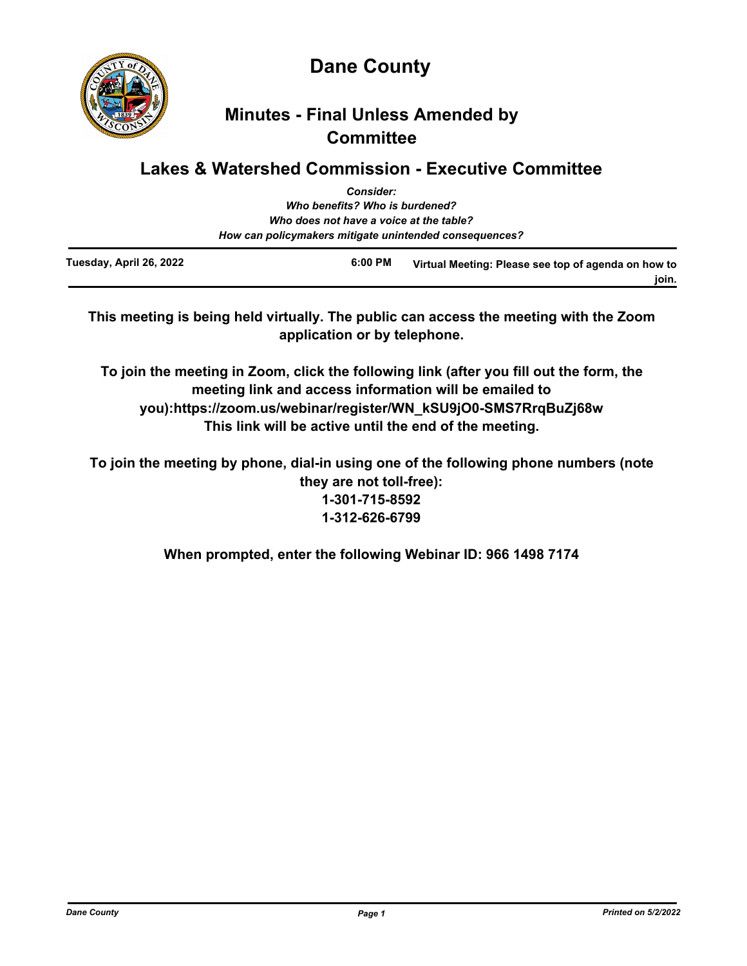

**Dane County**

# **Minutes - Final Unless Amended by Committee**

# **Lakes & Watershed Commission - Executive Committee**

|                         | <b>Consider:</b>                                       |                                                     |
|-------------------------|--------------------------------------------------------|-----------------------------------------------------|
|                         | Who benefits? Who is burdened?                         |                                                     |
|                         | Who does not have a voice at the table?                |                                                     |
|                         | How can policymakers mitigate unintended consequences? |                                                     |
| Tuesday, April 26, 2022 | $6:00$ PM                                              | Virtual Meeting: Please see top of agenda on how to |

**This meeting is being held virtually. The public can access the meeting with the Zoom application or by telephone.**

**To join the meeting in Zoom, click the following link (after you fill out the form, the meeting link and access information will be emailed to you):https://zoom.us/webinar/register/WN\_kSU9jO0-SMS7RrqBuZj68w This link will be active until the end of the meeting.**

**To join the meeting by phone, dial-in using one of the following phone numbers (note they are not toll-free): 1-301-715-8592 1-312-626-6799**

**When prompted, enter the following Webinar ID: 966 1498 7174**

**join.**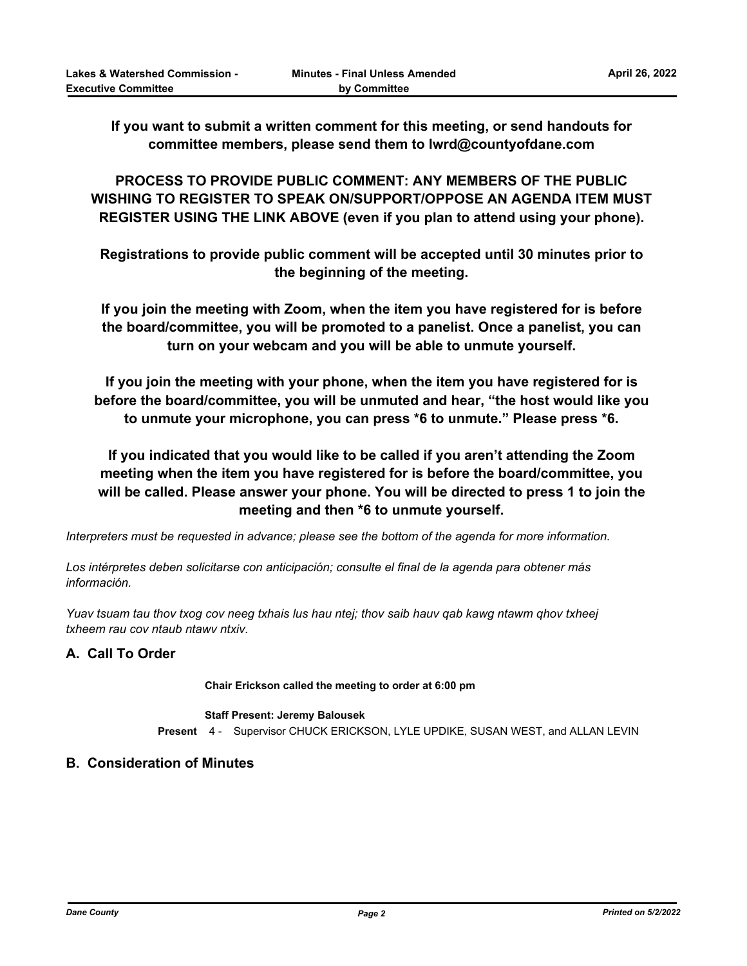**If you want to submit a written comment for this meeting, or send handouts for committee members, please send them to lwrd@countyofdane.com**

**PROCESS TO PROVIDE PUBLIC COMMENT: ANY MEMBERS OF THE PUBLIC WISHING TO REGISTER TO SPEAK ON/SUPPORT/OPPOSE AN AGENDA ITEM MUST REGISTER USING THE LINK ABOVE (even if you plan to attend using your phone).**

**Registrations to provide public comment will be accepted until 30 minutes prior to the beginning of the meeting.**

**If you join the meeting with Zoom, when the item you have registered for is before the board/committee, you will be promoted to a panelist. Once a panelist, you can turn on your webcam and you will be able to unmute yourself.**

**If you join the meeting with your phone, when the item you have registered for is before the board/committee, you will be unmuted and hear, "the host would like you to unmute your microphone, you can press \*6 to unmute." Please press \*6.**

**If you indicated that you would like to be called if you aren't attending the Zoom meeting when the item you have registered for is before the board/committee, you will be called. Please answer your phone. You will be directed to press 1 to join the meeting and then \*6 to unmute yourself.**

*Interpreters must be requested in advance; please see the bottom of the agenda for more information.*

*Los intérpretes deben solicitarse con anticipación; consulte el final de la agenda para obtener más información.*

*Yuav tsuam tau thov txog cov neeg txhais lus hau ntej; thov saib hauv qab kawg ntawm qhov txheej txheem rau cov ntaub ntawv ntxiv.*

## **A. Call To Order**

**Chair Erickson called the meeting to order at 6:00 pm**

#### **Staff Present: Jeremy Balousek**

**Present** 4 - Supervisor CHUCK ERICKSON, LYLE UPDIKE, SUSAN WEST, and ALLAN LEVIN

## **B. Consideration of Minutes**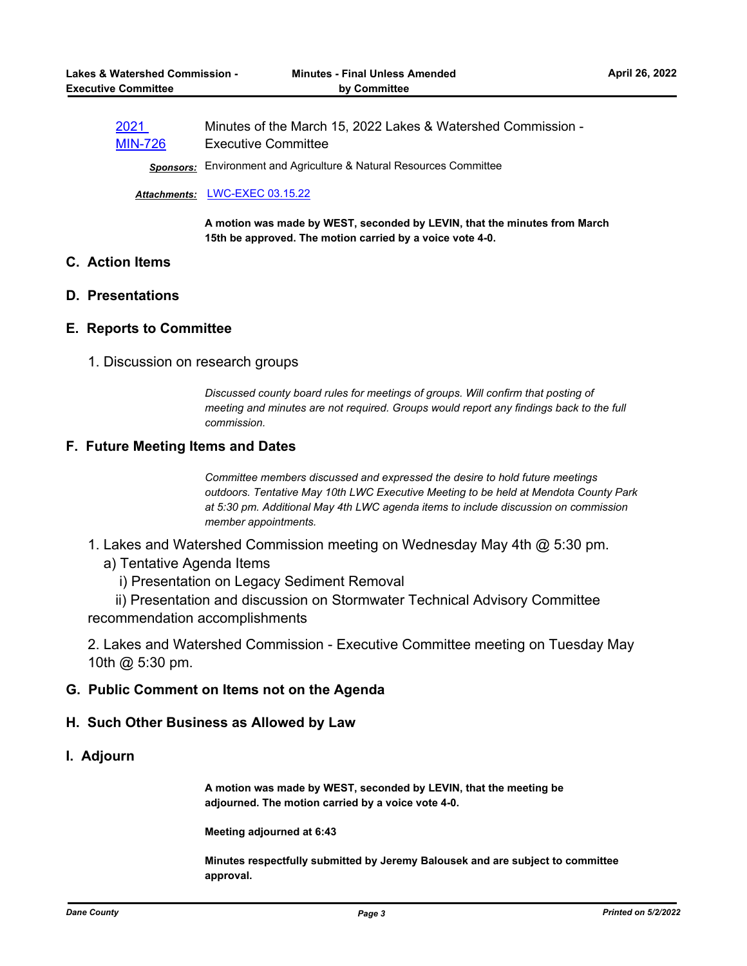| 2021           | Minutes of the March 15, 2022 Lakes & Watershed Commission - |
|----------------|--------------------------------------------------------------|
| <b>MIN-726</b> | <b>Executive Committee</b>                                   |

*Sponsors:* Environment and Agriculture & Natural Resources Committee

#### *Attachments:* [LWC-EXEC 03.15.22](http://dane.legistar.com/gateway.aspx?M=F&ID=551cbe4d-d979-4562-9417-f7dafea565b1.pdf)

**A motion was made by WEST, seconded by LEVIN, that the minutes from March 15th be approved. The motion carried by a voice vote 4-0.**

# **C. Action Items**

#### **D. Presentations**

#### **E. Reports to Committee**

1. Discussion on research groups

*Discussed county board rules for meetings of groups. Will confirm that posting of meeting and minutes are not required. Groups would report any findings back to the full commission.*

#### **F. Future Meeting Items and Dates**

*Committee members discussed and expressed the desire to hold future meetings outdoors. Tentative May 10th LWC Executive Meeting to be held at Mendota County Park at 5:30 pm. Additional May 4th LWC agenda items to include discussion on commission member appointments.*

- 1. Lakes and Watershed Commission meeting on Wednesday May 4th @ 5:30 pm.
	- a) Tentative Agenda Items
		- i) Presentation on Legacy Sediment Removal

 ii) Presentation and discussion on Stormwater Technical Advisory Committee recommendation accomplishments

2. Lakes and Watershed Commission - Executive Committee meeting on Tuesday May 10th @ 5:30 pm.

#### **G. Public Comment on Items not on the Agenda**

## **H. Such Other Business as Allowed by Law**

## **I. Adjourn**

**A motion was made by WEST, seconded by LEVIN, that the meeting be adjourned. The motion carried by a voice vote 4-0.**

**Meeting adjourned at 6:43**

**Minutes respectfully submitted by Jeremy Balousek and are subject to committee approval.**